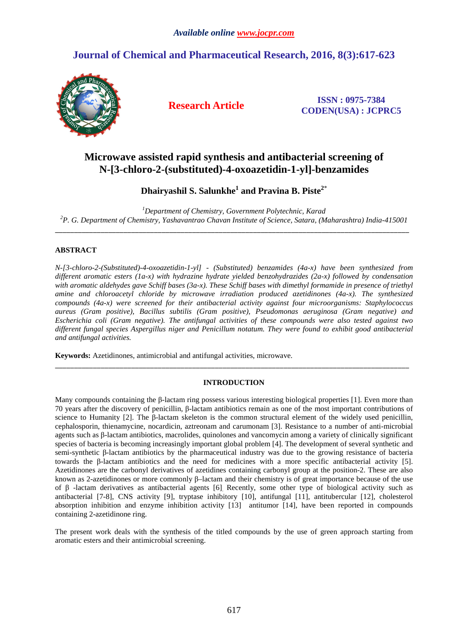# **Journal of Chemical and Pharmaceutical Research, 2016, 8(3):617-623**



**Research Article ISSN : 0975-7384 CODEN(USA) : JCPRC5**

# **Microwave assisted rapid synthesis and antibacterial screening of N-[3-chloro-2-(substituted)-4-oxoazetidin-1-yl]-benzamides**

## **Dhairyashil S. Salunkhe<sup>1</sup> and Pravina B. Piste<sup>2</sup>**\*

*<sup>1</sup>Department of Chemistry, Government Polytechnic, Karad <sup>2</sup>P. G. Department of Chemistry, Yashavantrao Chavan Institute of Science, Satara, (Maharashtra) India-415001*  \_\_\_\_\_\_\_\_\_\_\_\_\_\_\_\_\_\_\_\_\_\_\_\_\_\_\_\_\_\_\_\_\_\_\_\_\_\_\_\_\_\_\_\_\_\_\_\_\_\_\_\_\_\_\_\_\_\_\_\_\_\_\_\_\_\_\_\_\_\_\_\_\_\_\_\_\_\_\_\_\_\_\_\_\_\_\_\_\_\_\_\_\_

## **ABSTRACT**

*N-[3-chloro-2-(Substituted)-4-oxoazetidin-1-yl] - (Substituted) benzamides (4a-x) have been synthesized from different aromatic esters (1a-x) with hydrazine hydrate yielded benzohydrazides (2a-x) followed by condensation with aromatic aldehydes gave Schiff bases (3a-x). These Schiff bases with dimethyl formamide in presence of triethyl amine and chloroacetyl chloride by microwave irradiation produced azetidinones (4a-x). The synthesized compounds (4a-x) were screened for their antibacterial activity against four microorganisms: Staphylococcus aureus (Gram positive), Bacillus subtilis (Gram positive), Pseudomonas aeruginosa (Gram negative) and Escherichia coli (Gram negative). The antifungal activities of these compounds were also tested against two different fungal species Aspergillus niger and Penicillum notatum. They were found to exhibit good antibacterial and antifungal activities.* 

**Keywords:** Azetidinones, antimicrobial and antifungal activities, microwave.

### **INTRODUCTION**

\_\_\_\_\_\_\_\_\_\_\_\_\_\_\_\_\_\_\_\_\_\_\_\_\_\_\_\_\_\_\_\_\_\_\_\_\_\_\_\_\_\_\_\_\_\_\_\_\_\_\_\_\_\_\_\_\_\_\_\_\_\_\_\_\_\_\_\_\_\_\_\_\_\_\_\_\_\_\_\_\_\_\_\_\_\_\_\_\_\_\_\_\_

Many compounds containing the β-lactam ring possess various interesting biological properties [1]. Even more than 70 years after the discovery of penicillin, β-lactam antibiotics remain as one of the most important contributions of science to Humanity [2]. The β-lactam skeleton is the common structural element of the widely used penicillin, cephalosporin, thienamycine, nocardicin, aztreonam and carumonam [3]. Resistance to a number of anti-microbial agents such as β-lactam antibiotics, macrolides, quinolones and vancomycin among a variety of clinically significant species of bacteria is becoming increasingly important global problem [4]. The development of several synthetic and semi-synthetic β-lactam antibiotics by the pharmaceutical industry was due to the growing resistance of bacteria towards the β-lactam antibiotics and the need for medicines with a more specific antibacterial activity [5]. Azetidinones are the carbonyl derivatives of azetidines containing carbonyl group at the position-2. These are also known as 2-azetidinones or more commonly β–lactam and their chemistry is of great importance because of the use of β -lactam derivatives as antibacterial agents [6]. Recently, some other type of biological activity such as antibacterial [7-8], CNS activity [9], tryptase inhibitory [10], antifungal [11], antitubercular [12], cholesterol absorption inhibition and enzyme inhibition activity [13] antitumor [14], have been reported in compounds containing 2-azetidinone ring.

The present work deals with the synthesis of the titled compounds by the use of green approach starting from aromatic esters and their antimicrobial screening.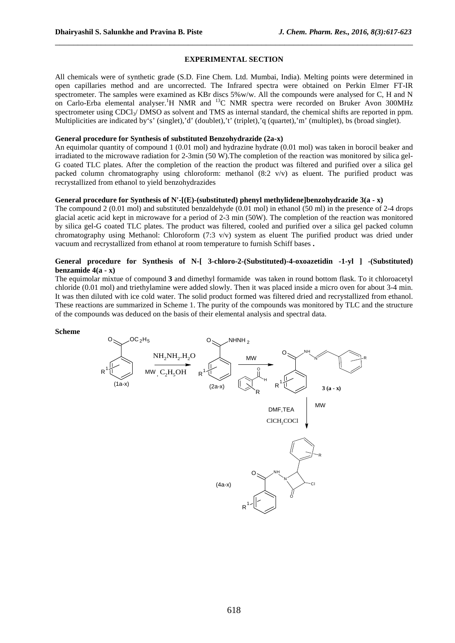#### **EXPERIMENTAL SECTION**

\_\_\_\_\_\_\_\_\_\_\_\_\_\_\_\_\_\_\_\_\_\_\_\_\_\_\_\_\_\_\_\_\_\_\_\_\_\_\_\_\_\_\_\_\_\_\_\_\_\_\_\_\_\_\_\_\_\_\_\_\_\_\_\_\_\_\_\_\_\_\_\_\_\_\_\_\_\_

All chemicals were of synthetic grade (S.D. Fine Chem. Ltd. Mumbai, India). Melting points were determined in open capillaries method and are uncorrected. The Infrared spectra were obtained on Perkin Elmer FT-IR spectrometer. The samples were examined as KBr discs 5%w/w. All the compounds were analysed for C, H and N on Carlo-Erba elemental analyser.<sup>1</sup>H NMR and <sup>13</sup>C NMR spectra were recorded on Bruker Avon 300MHz spectrometer using  $CDCl<sub>3</sub>/<sub>DMSO</sub>$  as solvent and TMS as internal standard, the chemical shifts are reported in ppm. Multiplicities are indicated by's' (singlet),'d' (doublet),'t' (triplet),'q (quartet),'m' (multiplet), bs (broad singlet).

#### **General procedure for Synthesis of substituted Benzohydrazide (2a-x)**

An equimolar quantity of compound 1 (0.01 mol) and hydrazine hydrate (0.01 mol) was taken in borocil beaker and irradiated to the microwave radiation for 2-3min (50 W).The completion of the reaction was monitored by silica gel-G coated TLC plates. After the completion of the reaction the product was filtered and purified over a silica gel packed column chromatography using chloroform: methanol  $(8:2 \text{ y/y})$  as eluent. The purified product was recrystallized from ethanol to yield benzohydrazides

#### **General procedure for Synthesis of N'-[(E)-(substituted) phenyl methylidene]benzohydrazide 3(a - x)**

The compound 2 (0.01 mol) and substituted benzaldehyde (0.01 mol) in ethanol (50 ml) in the presence of 2-4 drops glacial acetic acid kept in microwave for a period of 2-3 min (50W). The completion of the reaction was monitored by silica gel-G coated TLC plates. The product was filtered, cooled and purified over a silica gel packed column chromatography using Methanol: Chloroform (7:3 v/v) system as eluent The purified product was dried under vacuum and recrystallized from ethanol at room temperature to furnish Schiff bases **.** 

#### **General procedure for Synthesis of N-[ 3-chloro-2-(Substituted)-4-oxoazetidin -1-yl ] -(Substituted) benzamide 4(a - x)**

The equimolar mixtue of compound **3** and dimethyl formamide was taken in round bottom flask. To it chloroacetyl chloride (0.01 mol) and triethylamine were added slowly. Then it was placed inside a micro oven for about 3-4 min. It was then diluted with ice cold water. The solid product formed was filtered dried and recrystallized from ethanol. These reactions are summarized in Scheme 1. The purity of the compounds was monitored by TLC and the structure of the compounds was deduced on the basis of their elemental analysis and spectral data.

#### **Scheme**

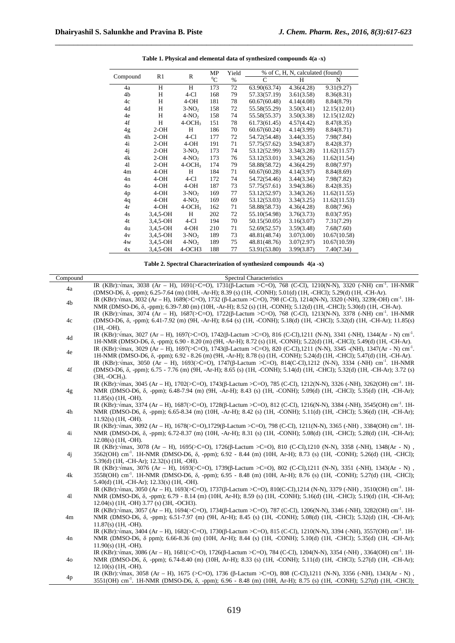|                | R1       | R        | MP        | Yield | % of C, H, N, calculated (found) |            |              |
|----------------|----------|----------|-----------|-------|----------------------------------|------------|--------------|
| Compound       |          |          | ${}^{0}C$ | $\%$  | C                                | H          | N            |
| 4a             | H        | H        | 173       | 72    | 63.90(63.74)                     | 4.36(4.28) | 9.31(9.27)   |
| 4b             | H        | $4-C1$   | 168       | 79    | 57.33(57.19)                     | 3.61(3.58) | 8.36(8.31)   |
| 4c             | H        | $4-OH$   | 181       | 78    | 60.67(60.48)                     | 4.14(4.08) | 8.84(8.79)   |
| 4d             | H        | $3-NO2$  | 158       | 72    | 55.58(55.29)                     | 3.50(3.41) | 12.15(12.01) |
| 4e             | H        | $4-NO2$  | 158       | 74    | 55.58(55.37)                     | 3.50(3.38) | 12.15(12.02) |
| 4f             | H        | $4-OCH3$ | 151       | 78    | 61.73(61.45)                     | 4.57(4.42) | 8.47(8.35)   |
| 4g             | $2-OH$   | H        | 186       | 70    | 60.67(60.24)                     | 4.14(3.99) | 8.84(8.71)   |
| 4h             | $2-OH$   | $4-C1$   | 177       | 72    | 54.72(54.48)                     | 3.44(3.35) | 7.98(7.84)   |
| 4i             | $2-OH$   | $4-OH$   | 191       | 71    | 57.75(57.62)                     | 3.94(3.87) | 8.42(8.37)   |
| 4j             | $2-OH$   | $3-NO2$  | 173       | 74    | 53.12(52.99)                     | 3.34(3.28) | 11.62(11.57) |
| 4k             | $2-OH$   | $4-NO2$  | 173       | 76    | 53.12(53.01)                     | 3.34(3.26) | 11.62(11.54) |
| 41             | $2-OH$   | $4-OCH3$ | 174       | 79    | 58.88(58.72)                     | 4.36(4.29) | 8.08(7.97)   |
| 4 <sub>m</sub> | $4-OH$   | H        | 184       | 71    | 60.67(60.28)                     | 4.14(3.97) | 8.84(8.69)   |
| 4n             | $4-OH$   | $4-C1$   | 172       | 74    | 54.72(54.46)                     | 3.44(3.34) | 7.98(7.82)   |
| $40^{\circ}$   | $4-OH$   | $4-OH$   | 187       | 73    | 57.75(57.61)                     | 3.94(3.86) | 8.42(8.35)   |
| 4p             | $4-OH$   | $3-NO2$  | 169       | 77    | 53.12(52.97)                     | 3.34(3.26) | 11.62(11.55) |
| 4q             | $4-OH$   | $4-NO2$  | 169       | 69    | 53.12(53.03)                     | 3.34(3.25) | 11.62(11.53) |
| 4r             | $4-OH$   | $4-OCH3$ | 162       | 71    | 58.88(58.73)                     | 4.36(4.28) | 8.08(7.96)   |
| 4s             | 3,4,5-OH | H        | 202       | 72    | 55.10(54.98)                     | 3.76(3.73) | 8.03(7.95)   |
| 4t             | 3,4,5-OH | $4-C1$   | 194       | 70    | 50.15(50.05)                     | 3.16(3.07) | 7.31(7.29)   |
| 4u             | 3,4,5-OH | $4-OH$   | 210       | 71    | 52.69(52.57)                     | 3.59(3.48) | 7.68(7.60)   |
| 4v             | 3,4,5-OH | $3-NO2$  | 189       | 73    | 48.81(48.74)                     | 3.07(3.00) | 10.67(10.58) |
| 4w             | 3,4,5-OH | $4-NO2$  | 189       | 75    | 48.81(48.76)                     | 3.07(2.97) | 10.67(10.59) |
| 4x             | 3,4,5-OH | 4-OCH3   | 188       | 77    | 53.91(53.80)                     | 3.99(3.87) | 7.40(7.34)   |

**Table 1. Physical and elemental data of synthesized compounds 4(a -x)** 

\_\_\_\_\_\_\_\_\_\_\_\_\_\_\_\_\_\_\_\_\_\_\_\_\_\_\_\_\_\_\_\_\_\_\_\_\_\_\_\_\_\_\_\_\_\_\_\_\_\_\_\_\_\_\_\_\_\_\_\_\_\_\_\_\_\_\_\_\_\_\_\_\_\_\_\_\_\_

#### **Table 2. Spectral Characterization of synthesized compounds 4(a -x)**

| Compound | Spectral Characteristics                                                                                                                             |
|----------|------------------------------------------------------------------------------------------------------------------------------------------------------|
| 4a       | IR (KBr): <i>Vmax</i> , 3038 (Ar – H), 1691(>C=O), 1731(β-Lactum >C=O), 768 (C-Cl), 1210(N-N), 3320 (-NH) cm <sup>-1</sup> . 1H-NMR                  |
|          | (DMSO-D6, δ, -ppm); 6.25-7.64 (m) (10H, -Ar-H); 8.39 (s) (1H, -CONH); 5.01(d) (1H, -CHCl); 5.29(d) (1H, -CH-Ar).                                     |
| 4b       | IR (KBr): $\sqrt{max}$ , 3032 (Ar – H), 1689(>C=O), 1732 (β-Lactum >C=O), 798 (C-Cl), 1214(N-N), 3320 (-NH), 3239(-OH) cm <sup>-1</sup> . 1H-        |
|          | NMR (DMSO-D6, $\delta$ , -ppm); 6.39-7.80 (m) (10H, -Ar-H); 8.52 (s) (1H, -CONH); 5.12(d) (1H, -CHCl); 5.30(d) (1H, -CH-Ar).                         |
|          | IR (KBr): $\sqrt{max}$ , 3074 (Ar – H), 1687(>C=O), 1722(β-Lactum >C=O), 768 (C-Cl), 1213(N-N), 3378 (-NH) cm <sup>-1</sup> . 1H-NMR                 |
| 4c       | (DMSO-D6, δ, -ppm); 6.41-7.92 (m) (9H, -Ar-H); 8.64 (s) (1H, -CONH); 5.18(d) (1H, -CHCl); 5.32(d) (1H, -CH-Ar); 11.85(s)                             |
|          | $(1H, -OH).$                                                                                                                                         |
| 4d       | IR (KBr): $\sqrt{max}$ , 3027 (Ar – H), 1697(>C=O), 1742( $\beta$ -Lactum >C=O), 816 (C-Cl), 1211 (N-N), 3341 (-NH), 1344(Ar - N) cm <sup>-1</sup> . |
|          | 1H-NMR (DMSO-D6, δ, -ppm); 6.90 - 8.20 (m) (9H, -Ar-H); 8.72 (s) (1H, -CONH); 5.22(d) (1H, -CHCl); 5.49(d) (1H, -CH-Ar).                             |
| 4e       | IR (KBr): $\sqrt{max}$ , 3029 (Ar – H), 1697(>C=O), 1743( $\beta$ -Lactum >C=O), 820 (C-Cl),1211 (N-N), 3345 -(NH), 1347(Ar - N) cm <sup>-1</sup> .  |
|          | 1H-NMR (DMSO-D6, $\delta$ , -ppm); 6.92 - 8.26 (m) (9H, -Ar-H); 8.78 (s) (1H, -CONH); 5.24(d) (1H, -CHCl); 5.47(d) (1H, -CH-Ar).                     |
|          | IR (KBr): $\sqrt{max}$ , 3050 (Ar – H), 1693(>C=O), 1747(B-Lactum >C=O), 814(C-Cl), 1212 (N-N), 3334 (-NH) cm <sup>-1</sup> . 1H-NMR                 |
| 4f       | (DMSO-D6, δ, -ppm); 6.75 - 7.76 (m) (9H, -Ar-H); 8.65 (s) (1H, -CONH); 5.14(d) (1H, -CHCl); 5.32(d) (1H, -CH-Ar); 3.72 (s)                           |
|          | $(3H. - OCH3)$ .                                                                                                                                     |
|          | IR (KBr): max, 3045 (Ar – H), 1702(>C=O), 1743(β-Lactum >C=O), 785 (C-Cl), 1212(N-N), 3326 (-NH), 3262(OH) cm <sup>-1</sup> . 1H-                    |
| 4g       | NMR (DMSO-D6, δ, -ppm); 6.48-7.94 (m) (9H, -Ar-H); 8.43 (s) (1H, -CONH); 5.09(d) (1H, -CHCl); 5.35(d) (1H, -CH-Ar);                                  |
|          | $11.85(s)$ (1H, -OH).                                                                                                                                |
|          | IR (KBr): max, 3374 (Ar – H), 1687(>C=O), 1728(β-Lactum >C=O), 812 (C-Cl), 1216(N-N), 3384 (-NH), 3545(OH) cm <sup>-1</sup> . 1H-                    |
| 4h       | NMR (DMSO-D6, δ, -ppm); 6.65-8.34 (m) (10H, -Ar-H); 8.42 (s) (1H, -CONH); 5.11(d) (1H, -CHCl); 5.36(d) (1H, -CH-Ar);                                 |
|          | $11.92(s)$ (1H. -OH).                                                                                                                                |
|          | IR (KBr): $\sqrt{max}$ , 3092 (Ar – H), 1678(>C=O),1729( $\beta$ -Lactum >C=O), 798 (C-Cl), 1211(N-N), 3365 (-NH), 3384(OH) cm <sup>-1</sup> . 1H-   |
| 4i       | NMR (DMSO-D6, δ, -ppm); 6.72-8.37 (m) (10H, -Ar-H); 8.31 (s) (1H, -CONH); 5.08(d) (1H, -CHCl); 5.28(d) (1H, -CH-Ar);                                 |
|          | $12.08(s)$ (1H. -OH).                                                                                                                                |
|          | IR (KBr): $\sqrt{max}$ , 3078 (Ar – H), 1695(>C=O), 1726(B-Lactum >C=O), 810 (C-Cl), 1210 (N-N), 3358 (-NH), 1348(Ar - N),                           |
| 4j       | 3562(OH) cm <sup>-1</sup> . 1H-NMR (DMSO-D6, δ, -ppm); 6.92 - 8.44 (m) (10H, Ar-H); 8.73 (s) (1H, -CONH); 5.26(d) (1H, -CHCl);                       |
|          | $5.39(d)$ (1H, -CH-Ar); 12.32(s) (1H, -OH).                                                                                                          |
|          | IR (KBr): $\sqrt{max}$ , 3076 (Ar – H), 1693(>C=O), 1739( $\beta$ -Lactum >C=O), 802 (C-Cl), 1211 (N-N), 3351 (-NH), 1343(Ar - N),                   |
| 4k       | 3558(OH) cm <sup>-1</sup> , 1H-NMR (DMSO-D6, δ, -ppm); 6.95 - 8.48 (m) (10H, Ar-H); 8.76 (s) (1H, -CONH); 5.27(d) (1H, -CHCl);                       |
|          | $5.40(d)$ (1H, -CH-Ar); 12.33(s) (1H, -OH).                                                                                                          |
|          | IR (KBr): $\sqrt{max}$ , 3050 (Ar – H), 1693(>C=O), 1737(β-Lactum >C=O), 810(C-Cl), 1214 (N-N), 3379 (-NH), 3510(OH) cm <sup>-1</sup> . 1H-          |
| 41       | NMR (DMSO-D6, δ, -ppm); 6.79 - 8.14 (m) (10H, Ar-H); 8.59 (s) (1H, -CONH); 5.16(d) (1H, -CHCl); 5.19(d) (1H, -CH-Ar);                                |
|          | $12.04(s)$ (1H, -OH) 3.77 (s) (3H, -OCH3).                                                                                                           |
|          | IR (KBr): max, 3057 (Ar – H), 1694(>C=O), 1734(β-Lactum >C=O), 787 (C-Cl), 1206(N-N), 3346 (-NH), 3282(OH) cm <sup>-1</sup> . 1H-                    |
| 4m       | NMR (DMSO-D6, δ, -ppm); 6.51-7.97 (m) (9H, Ar-H); 8.45 (s) (1H, -CONH); 5.08(d) (1H, -CHCl); 5.32(d) (1H, -CH-Ar);                                   |
|          | $11.87(s)$ (1H, -OH).                                                                                                                                |
| 4n       | IR (KBr): $\sqrt{max}$ , 3404 (Ar – H), 1682(>C=O), 1730( $\beta$ -Lactum >C=O), 815 (C-Cl), 1210(N-N), 3394 (-NH), 3557(OH) cm <sup>-1</sup> . 1H-  |
|          | NMR (DMSO-D6, δ ppm); 6.66-8.36 (m) (10H, Ar-H); 8.44 (s) (1H, -CONH); 5.10(d) (1H, -CHCl); 5.35(d) (1H, -CH-Ar);                                    |
|          | $11.90(s)$ (1H, -OH).                                                                                                                                |
| 40       | IR (KBr): vmax, 3086 (Ar – H), 1681(>C=O), 1726(β-Lactum >C=O), 784 (C-Cl), 1204(N-N), 3354 (-NH), 3364(OH) cm <sup>-1</sup> . 1H-                   |
|          | NMR (DMSO-D6, $\delta$ , -ppm); 6.74-8.40 (m) (10H, Ar-H); 8.33 (s) (1H, -CONH); 5.11(d) (1H, -CHCl); 5.27(d) (1H, -CH-Ar);                          |
|          | $12.10(s)$ (1H, -OH).                                                                                                                                |
| 4p       | IR (KBr): max, 3058 (Ar – H), 1675 (>C=O), 1736 (B-Lactum >C=O), 808 (C-Cl), 1211 (N-N), 3356 (-NH), 1343(Ar - N),                                   |
|          | 3551(OH) cm <sup>-1</sup> . 1H-NMR (DMSO-D6, δ, -ppm); 6.96 - 8.48 (m) (10H, Ar-H); 8.75 (s) (1H, -CONH); 5.27(d) (1H, -CHCl);                       |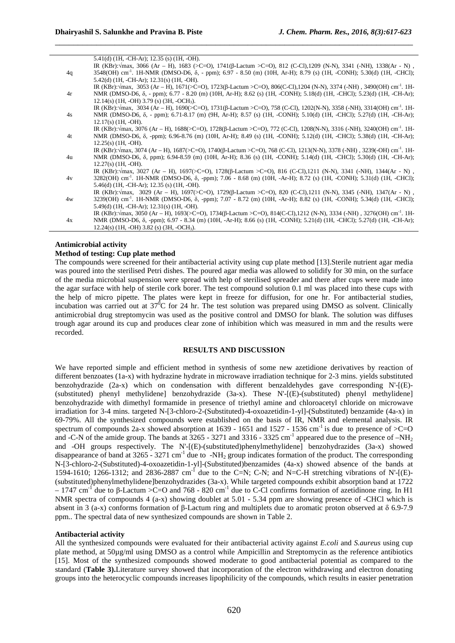|    | $5.41(d)$ (1H, -CH-Ar); 12.35 (s) (1H, -OH).                                                                                                        |
|----|-----------------------------------------------------------------------------------------------------------------------------------------------------|
|    | IR (KBr): $\forall$ max, 3066 (Ar – H), 1683 (>C=O), 1741( $\beta$ -Lactum >C=O), 812 (C-Cl), 1209 (N-N), 3341 (-NH), 1338(Ar - N),                 |
| 4q | 3548(OH) cm <sup>-1</sup> . 1H-NMR (DMSO-D6, δ, - ppm); 6.97 - 8.50 (m) (10H, Ar-H); 8.79 (s) (1H, -CONH); 5.30(d) (1H, -CHCl);                     |
|    | $5.42(d)$ (1H, -CH-Ar); 12.31(s) (1H, -OH).                                                                                                         |
|    | IR (KBr): $\sqrt{max}$ , 3053 (Ar – H), 1671(>C=O), 1723(β-Lactum >C=O), 806(C-Cl), 1204 (N-N), 3374 (-NH), 3490(OH) cm <sup>-1</sup> . 1H-         |
| 4r | NMR (DMSO-D6, δ, - ppm); 6.77 - 8.20 (m) (10H, Ar-H); 8.62 (s) (1H, -CONH); 5.18(d) (1H, -CHCl); 5.23(d) (1H, -CH-Ar);                              |
|    | $12.14(s)$ (1H, -OH) 3.79 (s) (3H, -OCH <sub>3</sub> ).                                                                                             |
|    | IR (KBr): $\sqrt{max}$ , 3034 (Ar – H), 1690(>C=O), 1731(β-Lactum >C=O), 758 (C-Cl), 1202(N-N), 3358 (-NH), 3314(OH) cm <sup>-1</sup> . 1H-         |
| 4s | NMR (DMSO-D6, δ, - ppm); 6.71-8.17 (m) (9H, Ar-H); 8.57 (s) (1H, -CONH); 5.10(d) (1H, -CHCl); 5.27(d) (1H, -CH-Ar);                                 |
|    | $12.17(s)$ (1H, -OH).                                                                                                                               |
|    | IR (KBr): $\sqrt{max}$ , 3076 (Ar – H), 1688(>C=O), 1728( $\beta$ -Lactum >C=O), 772 (C-Cl), 1208(N-N), 3316 (-NH), 3240(OH) cm <sup>-1</sup> . 1H- |
| 4t | NMR (DMSO-D6, $\delta$ , -ppm); 6.96-8.76 (m) (10H, Ar-H); 8.49 (s) (1H, -CONH); 5.12(d) (1H, -CHCl); 5.38(d) (1H, -CH-Ar);                         |
|    | $12.25(s)$ (1H, -OH).                                                                                                                               |
|    | IR (KBr): $\sqrt{max}$ , 3074 (Ar – H), 1687(>C=O), 1740(β-Lactum >C=O), 768 (C-Cl), 1213(N-N), 3378 (-NH), 3239(-OH) cm <sup>-1</sup> . 1H-        |
| 4u | NMR (DMSO-D6, δ, ppm); 6.94-8.59 (m) (10H, Ar-H); 8.36 (s) (1H, -CONH); 5.14(d) (1H, -CHCl); 5.30(d) (1H, -CH-Ar);                                  |
|    | $12.27(s)$ (1H, -OH).                                                                                                                               |
|    | IR (KBr): $\sqrt{max}$ , 3027 (Ar – H), 1697(>C=O), 1728( $\beta$ -Lactum >C=O), 816 (C-Cl), 1211 (N-N), 3341 (-NH), 1344(Ar - N),                  |
| 4v | 3282(OH) cm <sup>-1</sup> . 1H-NMR (DMSO-D6, δ, -ppm); 7.06 - 8.68 (m) (10H, -Ar-H); 8.72 (s) (1H, -CONH); 5.31(d) (1H, -CHCl);                     |
|    | $5.46(d)$ (1H, -CH-Ar); 12.35 (s) (1H, -OH).                                                                                                        |
|    | IR (KBr): Vmax, 3029 (Ar – H), 1697(>C=O), 1729(β-Lactum >C=O), 820 (C-Cl), 1211 (N-N), 3345 (-NH), 1347(Ar - N),                                   |
| 4w | 3239(OH) cm <sup>-1</sup> . 1H-NMR (DMSO-D6, $\delta$ , -ppm); 7.07 - 8.72 (m) (10H, -Ar-H); 8.82 (s) (1H, -CONH); 5.34(d) (1H, -CHCl);             |
|    | $5.49(d)$ (1H, -CH-Ar); 12.31(s) (1H, -OH).                                                                                                         |
|    | IR (KBr): $\langle$ max, 3050 (Ar – H), 1693(>C=O), 1734(β-Lactum >C=O), 814(C-Cl), 1212 (N-N), 3334 (-NH), 3276(OH) cm <sup>-1</sup> . 1H-         |
| 4x | NMR (DMSO-D6, δ, -ppm); 6.97 - 8.34 (m) (10H, -Ar-H); 8.66 (s) (1H, -CONH); 5.21(d) (1H, -CHCl); 5.27(d) (1H, -CH-Ar);                              |
|    | $12.24(s)$ (1H, -OH) 3.82 (s) (3H, -OCH <sub>3</sub> ).                                                                                             |

\_\_\_\_\_\_\_\_\_\_\_\_\_\_\_\_\_\_\_\_\_\_\_\_\_\_\_\_\_\_\_\_\_\_\_\_\_\_\_\_\_\_\_\_\_\_\_\_\_\_\_\_\_\_\_\_\_\_\_\_\_\_\_\_\_\_\_\_\_\_\_\_\_\_\_\_\_\_

#### **Antimicrobial activity**

#### **Method of testing: Cup plate method**

The compounds were screened for their antibacterial activity using cup plate method [13].Sterile nutrient agar media was poured into the sterilised Petri dishes. The poured agar media was allowed to solidify for 30 min, on the surface of the media microbial suspension were spread with help of sterilised spreader and there after cups were made into the agar surface with help of sterile cork borer. The test compound solution 0.1 ml was placed into these cups with the help of micro pipette. The plates were kept in freeze for diffusion, for one hr. For antibacterial studies, incubation was carried out at  $37^{\circ}$ C for 24 hr. The test solution was prepared using DMSO as solvent. Clinically antimicrobial drug streptomycin was used as the positive control and DMSO for blank. The solution was diffuses trough agar around its cup and produces clear zone of inhibition which was measured in mm and the results were recorded.

#### **RESULTS AND DISCUSSION**

We have reported simple and efficient method in synthesis of some new azetidione derivatives by reaction of different benzoates (1a-x) with hydrazine hydrate in microwave irradiation technique for 2-3 mins. yields substituted benzohydrazide (2a-x) which on condensation with different benzaldehydes gave corresponding N'-[(E)- (substituted) phenyl methylidene] benzohydrazide (3a-x). These N'-[(E)-(substituted) phenyl methylidene] benzohydrazide with dimethyl formamide in presence of triethyl amine and chloroacetyl chloride on microwave irradiation for 3-4 mins. targeted N-[3-chloro-2-(Substituted)-4-oxoazetidin-1-yl]-(Substituted) benzamide (4a-x) in 69-79%. All the synthesized compounds were established on the basis of IR, NMR and elemental analysis. IR spectrum of compounds 2a-x showed absorption at 1639 - 1651 and 1527 - 1536 cm<sup>-1</sup> is due to presence of  $\geq$ C=O and -C-N of the amide group. The bands at 3265 - 3271 and 3316 - 3325 cm<sup>-1</sup> appeared due to the presence of  $-NH<sub>2</sub>$ and -OH groups respectively. The N'-[(E)-(substituted)phenylmethylidene] benzohydrazides (3a-x) showed disappearance of band at  $3265 - 3271$  cm<sup>-1</sup> due to  $-NH<sub>2</sub>$  group indicates formation of the product. The corresponding N-[3-chloro-2-(Substituted)-4-oxoazetidin-1-yl]-(Substituted)benzamides (4a-x) showed absence of the bands at 1594-1610; 1266-1312; and 2836-2887 cm<sup>-1</sup> due to the C=N; C-N; and N=C-H stretching vibrations of N'-[(E)-(substituted)phenylmethylidene]benzohydrazides (3a-x). While targeted compounds exhibit absorption band at 1722  $-1747$  cm<sup>-1</sup> due to β-Lactum >C=O and 768 - 820 cm<sup>-1</sup> due to C-Cl confirms formation of azetidinone ring. In H1 NMR spectra of compounds 4 (a-x) showing doublet at 5.01 - 5.34 ppm are showing presence of -CHCl which is absent in 3 (a-x) conforms formation of β-Lactum ring and multiplets due to aromatic proton observed at δ 6.9-7.9 ppm.. The spectral data of new synthesized compounds are shown in Table 2.

#### **Antibacterial activity**

All the synthesized compounds were evaluated for their antibacterial activity against *E.coli* and *S.aureus* using cup plate method, at 50µg/ml using DMSO as a control while Ampicillin and Streptomycin as the reference antibiotics [15]. Most of the synthesized compounds showed moderate to good antibacterial potential as compared to the standard (**Table 3).**Literature survey showed that incorporation of the electron withdrawing and electron donating groups into the heterocyclic compounds increases lipophilicity of the compounds, which results in easier penetration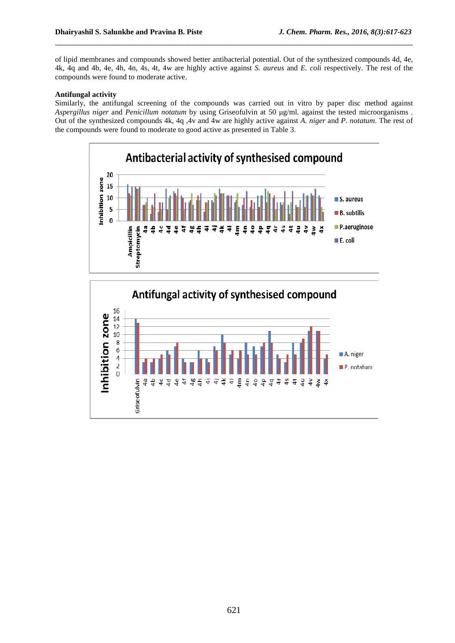of lipid membranes and compounds showed better antibacterial potential. Out of the synthesized compounds 4d, 4e, 4k, 4q and 4b, 4e, 4h, 4n, 4s, 4t, 4w are highly active against *S. aureus* and *E. coli* respectively. The rest of the compounds were found to moderate active.

\_\_\_\_\_\_\_\_\_\_\_\_\_\_\_\_\_\_\_\_\_\_\_\_\_\_\_\_\_\_\_\_\_\_\_\_\_\_\_\_\_\_\_\_\_\_\_\_\_\_\_\_\_\_\_\_\_\_\_\_\_\_\_\_\_\_\_\_\_\_\_\_\_\_\_\_\_\_

#### **Antifungal activity**

Similarly, the antifungal screening of the compounds was carried out in vitro by paper disc method against *Aspergillus niger* and *Penicillum notatum* by using Griseofulvin at 50 µg/ml. against the tested microorganisms . Out of the synthesized compounds 4k, 4q ,4v and 4w are highly active against *A. niger* and *P. notatum*. The rest of the compounds were found to moderate to good active as presented in Table 3.



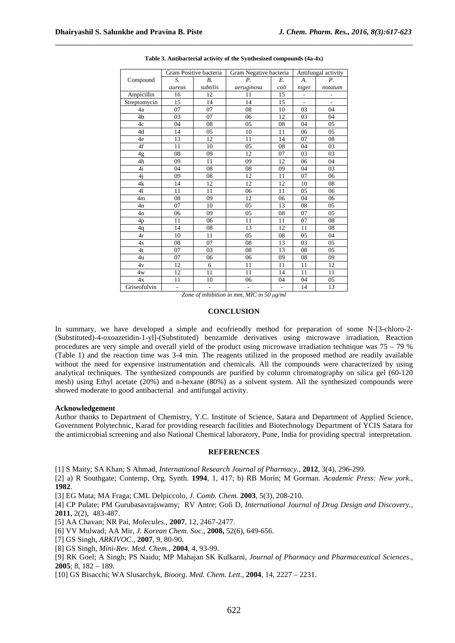|                |                | Gram Positive bacteria | Gram Negative bacteria   | Antifungal activity |                              |                          |
|----------------|----------------|------------------------|--------------------------|---------------------|------------------------------|--------------------------|
| Compound       | S.             | $B_{\cdot}$            | Р.                       | Е.                  | А.                           | $P_{\cdot}$              |
|                | aureus         | subtilis               | aeruginosa               | coli                | niger                        | notatum                  |
| Ampicillin     | 16             | 12                     | 11                       | 15                  | $\qquad \qquad \blacksquare$ | $\overline{\phantom{0}}$ |
| Streptomycin   | 15             | 14                     | 14                       | 15                  | $\overline{a}$               | $\overline{a}$           |
| 4a             | 07             | 07                     | 08                       | 10                  | 03                           | 04                       |
| 4b             | 03             | 07                     | 06                       | 12                  | 03                           | 04                       |
| 4c             | 04             | 08                     | 05                       | 08                  | 04                           | 05                       |
| 4d             | 14             | 05                     | 10                       | 11                  | 06                           | 05                       |
| 4e             | 13             | 12                     | 11                       | 14                  | 07                           | 08                       |
| 4f             | 11             | 10                     | 05                       | 08                  | 04                           | 03                       |
| 4g             | 08             | 09                     | 12                       | 07                  | 03                           | 03                       |
| 4h             | 09             | 11                     | 09                       | 12                  | 06                           | 04                       |
| 4i             | 04             | 08                     | 08                       | 09                  | 04                           | 03                       |
| 4i             | 09             | 08                     | 12                       | 11                  | 07                           | 06                       |
| 4k             | 14             | 12                     | 12                       | 12                  | 10                           | 08                       |
| 41             | 11             | 11                     | 06                       | 11                  | 05                           | 06                       |
| 4m             | 08             | 09                     | 12                       | 06                  | 04                           | 06                       |
| 4 <sub>n</sub> | 07             | 10                     | 05                       | 13                  | 08                           | 05                       |
| 4 <sub>o</sub> | 06             | 09                     | 05                       | 08                  | 07                           | 05                       |
| 4 <sub>p</sub> | 11             | 06                     | 11                       | 11                  | 07                           | 08                       |
| 4q             | 14             | 08                     | 13                       | 12                  | 11                           | 08                       |
| 4r             | 10             | 11                     | 05                       | 08                  | 05                           | 04                       |
| 4s             | 08             | 07                     | 08                       | 13                  | 03                           | 05                       |
| 4t             | 07             | 03                     | 08                       | 13                  | 08                           | 05                       |
| 4u             | 07             | 06                     | 06                       | 09                  | 08                           | 09                       |
| 4v             | 12             | 6                      | 11                       | 11                  | 11                           | 12                       |
| 4w             | 12             | 11                     | 11                       | 14                  | 11                           | 11                       |
| 4x             | 11             | 10                     | 06                       | 04                  | 04                           | 05                       |
| Griseofulvin   | $\blacksquare$ | $\frac{1}{2}$          | $\overline{\phantom{a}}$ | $\frac{1}{2}$       | 14                           | 13                       |

**Table 3. Antibacterial activity of the Synthesized compounds (4a-4x)** 

\_\_\_\_\_\_\_\_\_\_\_\_\_\_\_\_\_\_\_\_\_\_\_\_\_\_\_\_\_\_\_\_\_\_\_\_\_\_\_\_\_\_\_\_\_\_\_\_\_\_\_\_\_\_\_\_\_\_\_\_\_\_\_\_\_\_\_\_\_\_\_\_\_\_\_\_\_\_

*Zone of inhibition in mm, MIC in 50 µg/ml* 

#### **CONCLUSION**

In summary, we have developed a simple and ecofriendly method for preparation of some N-[3-chloro-2- (Substituted)-4-oxoazetidin-1-yl]-(Substituted) benzamide derivatives using microwave irradiation. Reaction procedures are very simple and overall yield of the product using microwave irradiation technique was 75 – 79 % (Table 1) and the reaction time was 3-4 min. The reagents utilized in the proposed method are readily available without the need for expensive instrumentation and chemicals. All the compounds were characterized by using analytical techniques. The synthesized compounds are purified by column chromatography on silica gel (60-120 mesh) using Ethyl acetate (20%) and n-hexane (80%) as a solvent system. All the synthesized compounds were showed moderate to good antibacterial and antifungal activity.

#### **Acknowledgement**

Author thanks to Department of Chemistry, Y.C. Institute of Science, Satara and Department of Applied Science, Government Polytechnic, Karad for providing research facilities and Biotechnology Department of YCIS Satara for the antimicrobial screening and also National Chemical laboratory, Pune, India for providing spectral interpretation.

#### **REFERENCES**

[1] S Maity; SA Khan; S Ahmad, *International Research Journal of Pharmacy*., **2012**, 3(4), 296-299.

[2] a) R Southgate; Contemp, Org. Synth. **1994**, 1, 417; b) RB Morin; M Gorman. *Academic Press: New york.,* **1982**.

[3] EG Mata; MA Fraga; CML Delpiccolo, *J. Comb. Chem.* **2003**, 5(3), 208-210.

[4] CP Pulate; PM Gurubasavrajswamy; RV Antre; Goli D, *International Journal of Drug Design and Discovery.,* **2011**, 2(2), 483-487.

[5] AA Chavan; NR Pai, *Molecules.,* **2007**, 12, 2467-2477.

[6] VV Mulwad; AA Mir, *J. Korean Chem. Soc.*, **2008,** 52(6), 649-656.

[7] GS Singh, *ARKIVOC*., **2007**, 9, 80-90.

[8] GS Singh, *Mini-Rev. Med*. *Chem.,* **2004**, 4, 93-99.

[9] RK Goel; A Singh; PS Naidu; MP Mahajan SK Kulkarni, *Journal of Pharmacy and Pharmaceutical Sciences*., **2005**; 8, 182 – 189.

[10] GS Bisacchi; WA Slusarchyk, *Bioorg. Med. Chem. Lett*., **2004**, 14, 2227 – 2231.